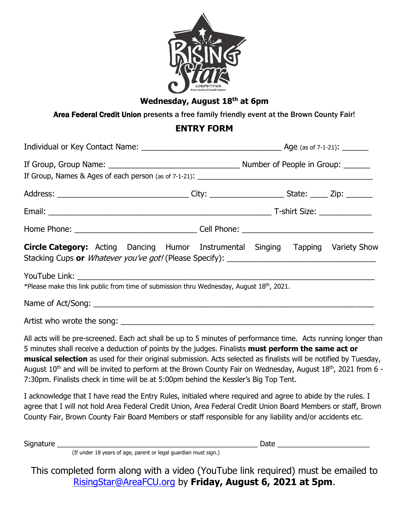

## **Wednesday, August 18 th at 6pm**

Area Federal Credit Union presents a free family friendly event at the Brown County Fair!

## **ENTRY FORM**

| <b>Circle Category:</b> Acting Dancing Humor Instrumental Singing Tapping Variety Show                                                                                                                                                                                                                                                                                                                                                                                                                                                                                     |  |  |  |  |
|----------------------------------------------------------------------------------------------------------------------------------------------------------------------------------------------------------------------------------------------------------------------------------------------------------------------------------------------------------------------------------------------------------------------------------------------------------------------------------------------------------------------------------------------------------------------------|--|--|--|--|
| YouTube Link: National Activities of the Contract of the Contract of the Contract of the Contract of the Contract of the Contract of the Contract of the Contract of the Contract of the Contract of the Contract of the Contr<br>*Please make this link public from time of submission thru Wednesday, August 18 <sup>th</sup> , 2021.                                                                                                                                                                                                                                    |  |  |  |  |
|                                                                                                                                                                                                                                                                                                                                                                                                                                                                                                                                                                            |  |  |  |  |
|                                                                                                                                                                                                                                                                                                                                                                                                                                                                                                                                                                            |  |  |  |  |
| All acts will be pre-screened. Each act shall be up to 5 minutes of performance time. Acts running longer than<br>5 minutes shall receive a deduction of points by the judges. Finalists must perform the same act or<br>musical selection as used for their original submission. Acts selected as finalists will be notified by Tuesday,<br>August 10 <sup>th</sup> and will be invited to perform at the Brown County Fair on Wednesday, August 18 <sup>th</sup> , 2021 from 6 -<br>7:30pm. Finalists check in time will be at 5:00pm behind the Kessler's Big Top Tent. |  |  |  |  |
| I acknowledge that I have read the Entry Rules, initialed where required and agree to abide by the rules. I<br>agree that I will not hold Area Federal Credit Union, Area Federal Credit Union Board Members or staff, Brown<br>County Fair, Brown County Fair Board Members or staff responsible for any liability and/or accidents etc.                                                                                                                                                                                                                                  |  |  |  |  |

Signature \_\_\_\_\_\_\_\_\_\_\_\_\_\_\_\_\_\_\_\_\_\_\_\_\_\_\_\_\_\_\_\_\_\_\_\_\_\_\_\_\_\_\_\_\_\_\_\_\_\_ Date \_\_\_\_\_\_\_\_\_\_\_\_\_\_\_\_\_\_\_\_\_\_\_

(If under 18 years of age, parent or legal guardian must sign.)

This completed form along with a video (YouTube link required) must be emailed to [RisingStar@AreaFCU.org](mailto:RisingStar@AreaFCU.org) by **Friday, August 6, 2021 at 5pm**.